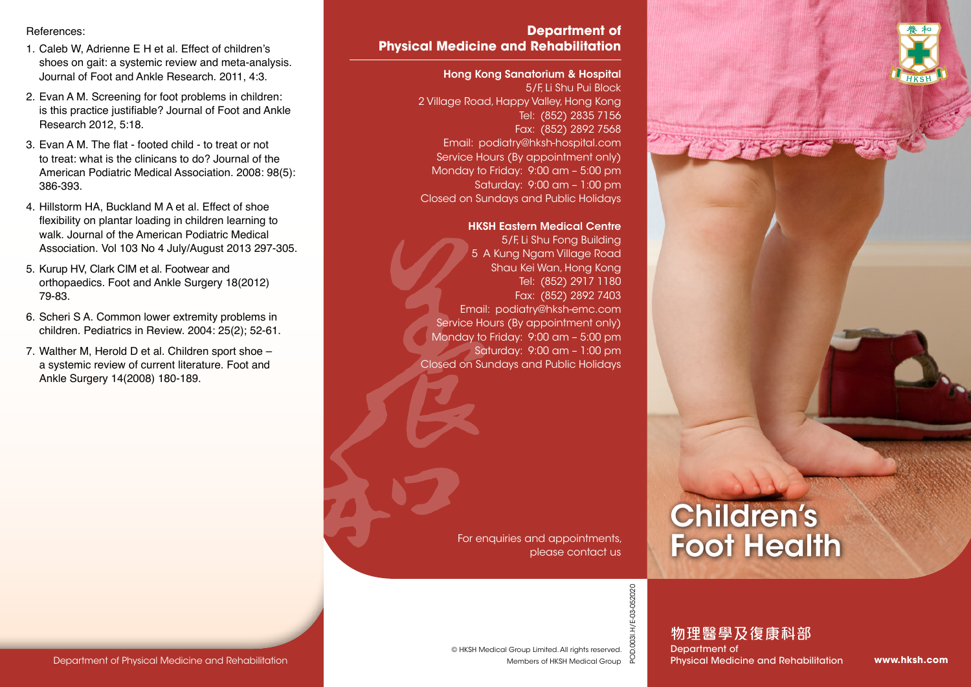References:

- 1. Caleb W, Adrienne E H et al. Effect of children's shoes on gait: a systemic review and meta-analysis. Journal of Foot and Ankle Research. 2011, 4:3.
- 2. Evan A M. Screening for foot problems in children: is this practice justifiable? Journal of Foot and Ankle Research 2012, 5:18.
- 3. Evan A M. The flat footed child to treat or not to treat: what is the clinicans to do? Journal of the American Podiatric Medical Association. 2008: 98(5): 386-393.
- 4. Hillstorm HA, Buckland M A et al. Effect of shoe flexibility on plantar loading in children learning to walk. Journal of the American Podiatric Medical Association. Vol 103 No 4 July/August 2013 297-305.
- 5. Kurup HV, Clark CIM et al. Footwear and orthopaedics. Foot and Ankle Surgery 18(2012) 79-83.
- 6. Scheri S A. Common lower extremity problems in children. Pediatrics in Review. 2004: 25(2); 52-61.
- 7. Walther M, Herold D et al. Children sport shoe a systemic review of current literature. Foot and Ankle Surgery 14(2008) 180-189.

## **Department of Physical Medicine and Rehabilitation**

#### Hong Kong Sanatorium & Hospital

5/F, Li Shu Pui Block 2 Village Road, Happy Valley, Hong Kong Tel: (852) 2835 7156 Fax: (852) 2892 7568 Email: podiatry@hksh-hospital.com Service Hours (By appointment only) Monday to Friday: 9:00 am – 5:00 pm Saturday: 9:00 am – 1:00 pm Closed on Sundays and Public Holidays

#### HKSH Eastern Medical Centre

5/F, Li Shu Fong Building 5 A Kung Ngam Village Road Shau Kei Wan, Hong Kong Tel: (852) 2917 1180 Fax: (852) 2892 7403 Email: podiatry@hksh-emc.com Service Hours (By appointment only) Monday to Friday: 9:00 am – 5:00 pm Saturday: 9:00 am – 1:00 pm Closed on Sundays and Public Holidays

> For enquiries and appointments, please contact us

# Children's Foot Health

POD.003I.H/E-03-052020 POD.003I.H/E-03-052020

物理醫學及復康科部 Department of

**www.hksh.com**

Members of HKSH Medical Group © HKSH Medical Group Limited. All rights reserved. Physical Medicine and Rehabilitation